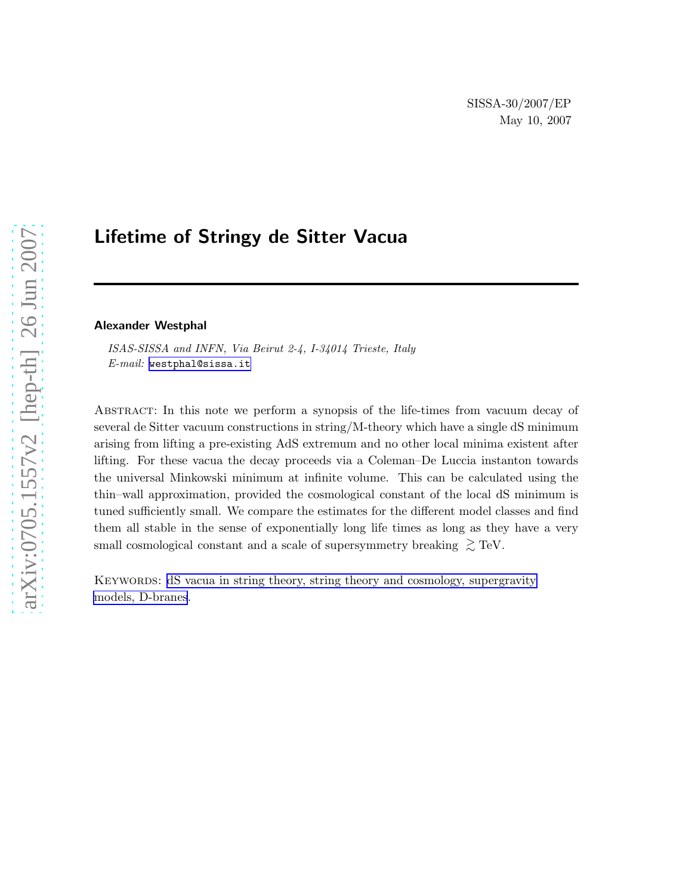# Lifetime of Stringy de Sitter Vacua

#### Alexander Westphal

ISAS-SISSA and INFN, Via Beirut 2-4, I-34014 Trieste, Italy E-mail: [westphal@sissa.it](mailto:westphal@sissa.it)

Abstract: In this note we perform a synopsis of the life-times from vacuum decay of several de Sitter vacuum constructions in string/M-theory which have a single dS minimum arising from lifting a pre-existing AdS extremum and no other local minima existent after lifting. For these vacua the decay proceeds via a Coleman–De Luccia instanton towards the universal Minkowski minimum at infinite volume. This can be calculated using the thin–wall approximation, provided the cosmological constant of the local dS minimum is tuned sufficiently small. We compare the estimates for the different model classes and find them all stable in the sense of exponentially long life times as long as they have a very small cosmological constant and a scale of supersymmetry breaking  $\gtrsim$  TeV.

Keywords: [dS vacua in string theory, string theory and cosmology, supergravity](http://jhep.sissa.it/stdsearch) [models, D-branes](http://jhep.sissa.it/stdsearch).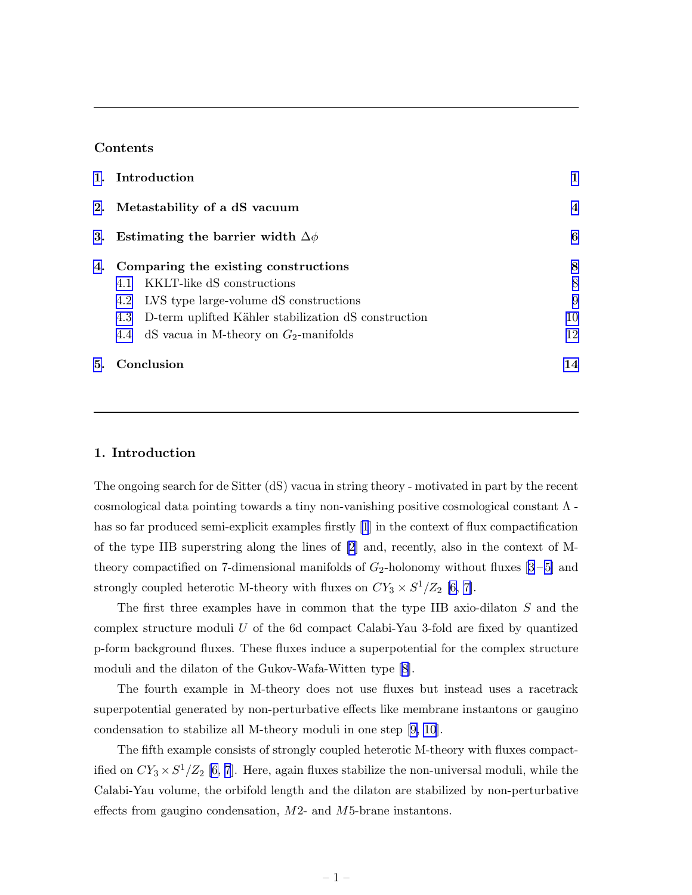# Contents

| 1. Introduction                                          |                |
|----------------------------------------------------------|----------------|
| 2. Metastability of a dS vacuum                          | $\overline{4}$ |
| 3. Estimating the barrier width $\Delta \phi$            | 6              |
| 4. Comparing the existing constructions                  | 8              |
| KKLT-like dS constructions<br>4.1                        | 8              |
| 4.2 LVS type large-volume dS constructions               | 9              |
| 4.3 D-term uplifted Kähler stabilization dS construction | 10             |
| 4.4 dS vacua in M-theory on $G_2$ -manifolds             | 12             |
| 5. Conclusion                                            | 14             |

## 1. Introduction

The ongoing search for de Sitter (dS) vacua in string theory - motivated in part by the recent cosmological data pointing towards a tiny non-vanishing positive cosmological constant Λ has so far produced semi-explicit examples firstly [\[1](#page-15-0)] in the context of flux compactification of the type IIB superstring along the lines of [\[2](#page-15-0)] and, recently, also in the context of Mtheorycompactified on 7-dimensional manifolds of  $G_2$ -holonomy without fluxes [[3](#page-15-0)-5] and strongly coupled heterotic M-theory with fluxes on  $CY_3 \times S^1/Z_2$  [\[6, 7\]](#page-15-0).

The first three examples have in common that the type IIB axio-dilaton S and the complex structure moduli  $U$  of the 6d compact Calabi-Yau 3-fold are fixed by quantized p-form background fluxes. These fluxes induce a superpotential for the complex structure moduli and the dilaton of the Gukov-Wafa-Witten type[[8](#page-15-0)].

The fourth example in M-theory does not use fluxes but instead uses a racetrack superpotential generated by non-perturbative effects like membrane instantons or gaugino condensation to stabilize all M-theory moduli in one step [\[9, 10](#page-15-0)].

The fifth example consists of strongly coupled heterotic M-theory with fluxes compactified on  $CY_3 \times S^1/Z_2$  [\[6, 7](#page-15-0)]. Here, again fluxes stabilize the non-universal moduli, while the Calabi-Yau volume, the orbifold length and the dilaton are stabilized by non-perturbative effects from gaugino condensation, M2- and M5-brane instantons.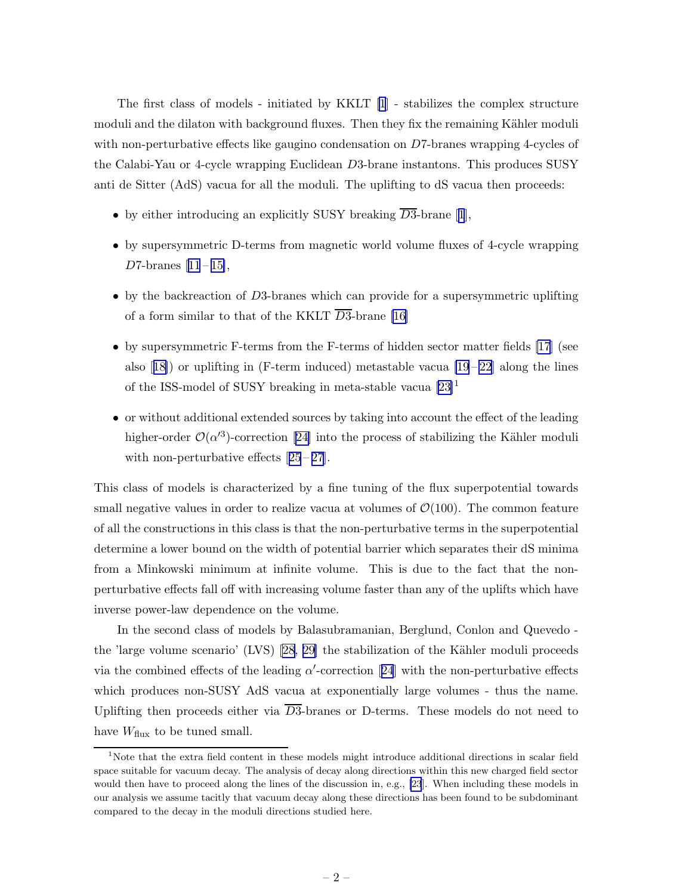The first class of models - initiated by KKLT [\[1](#page-15-0)] - stabilizes the complex structure moduli and the dilaton with background fluxes. Then they fix the remaining Kähler moduli with non-perturbative effects like gaugino condensation on D7-branes wrapping 4-cycles of the Calabi-Yau or 4-cycle wrapping Euclidean D3-brane instantons. This produces SUSY anti de Sitter (AdS) vacua for all the moduli. The uplifting to dS vacua then proceeds:

- •by either introducing an explicitly SUSY breaking  $\overline{D3}$ -brane [[1](#page-15-0)],
- by supersymmetric D-terms from magnetic world volume fluxes of 4-cycle wrapping D7-branes $[11 - 15]$  $[11 - 15]$  $[11 - 15]$  $[11 - 15]$ ,
- by the backreaction of D3-branes which can provide for a supersymmetric uplifting of a form similar to that of the KKLT  $\overline{D3}$ -brane [\[16\]](#page-15-0)
- by supersymmetric F-terms from the F-terms of hidden sector matter fields [\[17](#page-15-0)] (see also $[18]$  $[18]$  or uplifting in (F-term induced) metastable vacua  $[19-22]$  along the lines of the ISS-model of SUSY breaking in meta-stable vacua  $[23]$ <sup>1</sup>
- or without additional extended sources by taking into account the effect of the leading higher-order $\mathcal{O}(\alpha^3)$ -correction [[24\]](#page-15-0) into the process of stabilizing the Kähler moduli withnon-perturbative effects  $[25-27]$  $[25-27]$  $[25-27]$ .

This class of models is characterized by a fine tuning of the flux superpotential towards small negative values in order to realize vacua at volumes of  $\mathcal{O}(100)$ . The common feature of all the constructions in this class is that the non-perturbative terms in the superpotential determine a lower bound on the width of potential barrier which separates their dS minima from a Minkowski minimum at infinite volume. This is due to the fact that the nonperturbative effects fall off with increasing volume faster than any of the uplifts which have inverse power-law dependence on the volume.

In the second class of models by Balasubramanian, Berglund, Conlon and Quevedo - the 'large volume scenario' (LVS) [\[28, 29\]](#page-16-0) the stabilization of the Kähler moduli proceeds viathe combined effects of the leading  $\alpha'$ -correction [[24](#page-15-0)] with the non-perturbative effects which produces non-SUSY AdS vacua at exponentially large volumes - thus the name. Uplifting then proceeds either via  $\overline{D3}$ -branes or D-terms. These models do not need to have  $W_{\text{flux}}$  to be tuned small.

<sup>&</sup>lt;sup>1</sup>Note that the extra field content in these models might introduce additional directions in scalar field space suitable for vacuum decay. The analysis of decay along directions within this new charged field sector would then have to proceed along the lines of the discussion in, e.g., [\[23](#page-15-0)]. When including these models in our analysis we assume tacitly that vacuum decay along these directions has been found to be subdominant compared to the decay in the moduli directions studied here.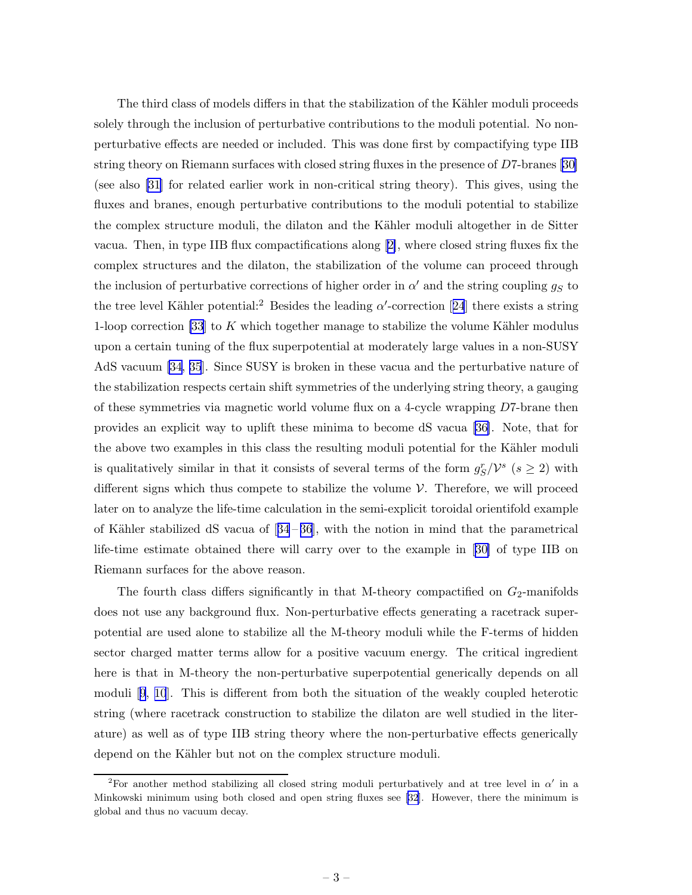The third class of models differs in that the stabilization of the Kähler moduli proceeds solely through the inclusion of perturbative contributions to the moduli potential. No nonperturbative effects are needed or included. This was done first by compactifying type IIB string theory on Riemann surfaces with closed string fluxes in the presence of D7-branes [\[30\]](#page-16-0) (see also [\[31\]](#page-16-0) for related earlier work in non-critical string theory). This gives, using the fluxes and branes, enough perturbative contributions to the moduli potential to stabilize the complex structure moduli, the dilaton and the Kähler moduli altogether in de Sitter vacua. Then, in type IIB flux compactifications along [\[2\]](#page-15-0), where closed string fluxes fix the complex structures and the dilaton, the stabilization of the volume can proceed through the inclusion of perturbative corrections of higher order in  $\alpha'$  and the string coupling  $g_S$  to thetree level Kähler potential:<sup>2</sup> Besides the leading  $\alpha'$ -correction [[24](#page-15-0)] there exists a string 1-loop correction [\[33](#page-16-0)] to K which together manage to stabilize the volume Kähler modulus upon a certain tuning of the flux superpotential at moderately large values in a non-SUSY AdS vacuum [\[34](#page-16-0), [35](#page-16-0)]. Since SUSY is broken in these vacua and the perturbative nature of the stabilization respects certain shift symmetries of the underlying string theory, a gauging of these symmetries via magnetic world volume flux on a 4-cycle wrapping D7-brane then provides an explicit way to uplift these minima to become dS vacua[[36\]](#page-16-0). Note, that for the above two examples in this class the resulting moduli potential for the Kähler moduli is qualitatively similar in that it consists of several terms of the form  $g_S^r/\mathcal{V}^s$  ( $s \geq 2$ ) with different signs which thus compete to stabilize the volume  $V$ . Therefore, we will proceed later on to analyze the life-time calculation in the semi-explicit toroidal orientifold example ofKähler stabilized dS vacua of  $[34-36]$  $[34-36]$  $[34-36]$ , with the notion in mind that the parametrical life-time estimate obtained there will carry over to the example in[[30\]](#page-16-0) of type IIB on Riemann surfaces for the above reason.

The fourth class differs significantly in that M-theory compactified on  $G_2$ -manifolds does not use any background flux. Non-perturbative effects generating a racetrack superpotential are used alone to stabilize all the M-theory moduli while the F-terms of hidden sector charged matter terms allow for a positive vacuum energy. The critical ingredient here is that in M-theory the non-perturbative superpotential generically depends on all moduli[[9](#page-15-0), [10](#page-15-0)]. This is different from both the situation of the weakly coupled heterotic string (where racetrack construction to stabilize the dilaton are well studied in the literature) as well as of type IIB string theory where the non-perturbative effects generically depend on the Kähler but not on the complex structure moduli.

<sup>&</sup>lt;sup>2</sup>For another method stabilizing all closed string moduli perturbatively and at tree level in  $\alpha'$  in a Minkowski minimum using both closed and open string fluxes see [\[32](#page-16-0)]. However, there the minimum is global and thus no vacuum decay.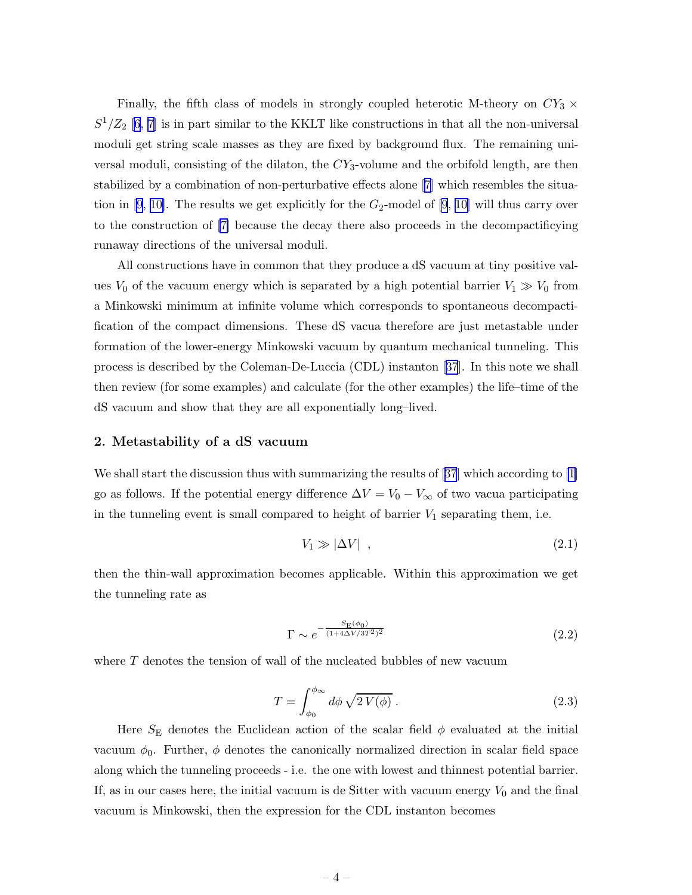<span id="page-4-0"></span>Finally, the fifth class of models in strongly coupled heterotic M-theory on  $CY_3 \times$  $S^1/Z_2$  [[6](#page-15-0), [7](#page-15-0)] is in part similar to the KKLT like constructions in that all the non-universal moduli get string scale masses as they are fixed by background flux. The remaining universal moduli, consisting of the dilaton, the  $CY_3$ -volume and the orbifold length, are then stabilized by a combination of non-perturbative effects alone[[7](#page-15-0)] which resembles the situa-tionin [[9](#page-15-0), [10\]](#page-15-0). The results we get explicitly for the  $G_2$ -model of [9, 10] will thus carry over to the construction of [\[7\]](#page-15-0) because the decay there also proceeds in the decompactificying runaway directions of the universal moduli.

All constructions have in common that they produce a dS vacuum at tiny positive values  $V_0$  of the vacuum energy which is separated by a high potential barrier  $V_1 \gg V_0$  from a Minkowski minimum at infinite volume which corresponds to spontaneous decompactification of the compact dimensions. These dS vacua therefore are just metastable under formation of the lower-energy Minkowski vacuum by quantum mechanical tunneling. This process is described by the Coleman-De-Luccia (CDL) instanton[[37](#page-16-0)]. In this note we shall then review (for some examples) and calculate (for the other examples) the life–time of the dS vacuum and show that they are all exponentially long–lived.

## 2. Metastability of a dS vacuum

Weshall start the discussion thus with summarizing the results of [[37](#page-16-0)] which according to [\[1\]](#page-15-0) go as follows. If the potential energy difference  $\Delta V = V_0 - V_\infty$  of two vacua participating in the tunneling event is small compared to height of barrier  $V_1$  separating them, i.e.

$$
V_1 \gg |\Delta V| \quad , \tag{2.1}
$$

then the thin-wall approximation becomes applicable. Within this approximation we get the tunneling rate as

$$
\Gamma \sim e^{-\frac{S_{\rm E}(\phi_0)}{(1+4\Delta V/3T^2)^2}}
$$
\n(2.2)

where  $T$  denotes the tension of wall of the nucleated bubbles of new vacuum

$$
T = \int_{\phi_0}^{\phi_{\infty}} d\phi \sqrt{2 V(\phi)} . \tag{2.3}
$$

Here  $S_{\rm E}$  denotes the Euclidean action of the scalar field  $\phi$  evaluated at the initial vacuum  $\phi_0$ . Further,  $\phi$  denotes the canonically normalized direction in scalar field space along which the tunneling proceeds - i.e. the one with lowest and thinnest potential barrier. If, as in our cases here, the initial vacuum is de Sitter with vacuum energy  $V_0$  and the final vacuum is Minkowski, then the expression for the CDL instanton becomes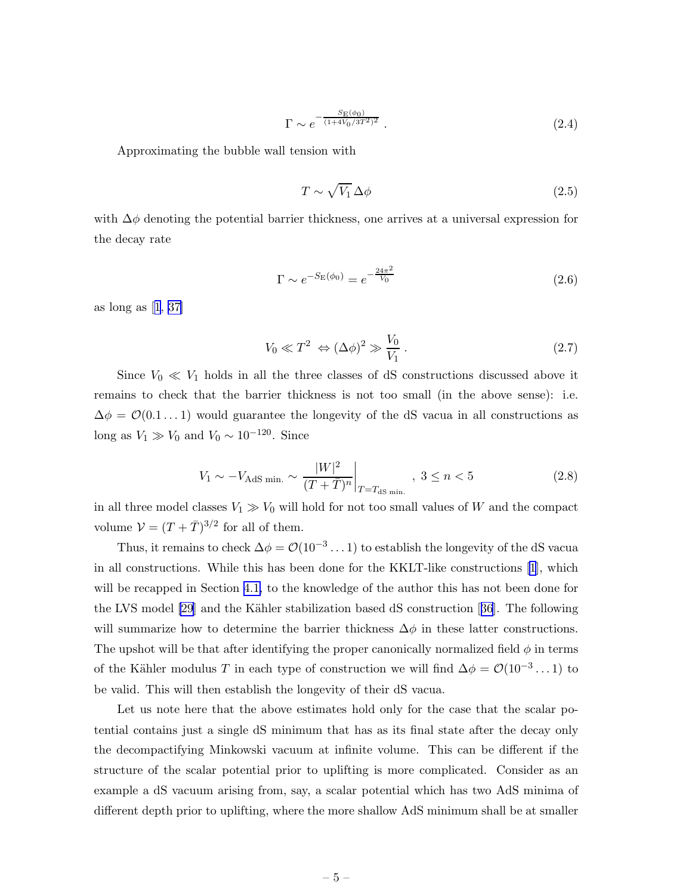$$
\Gamma \sim e^{-\frac{S_{\rm E}(\phi_0)}{(1+4V_0/3T^2)^2}} \,. \tag{2.4}
$$

<span id="page-5-0"></span>Approximating the bubble wall tension with

$$
T \sim \sqrt{V_1} \,\Delta \phi \tag{2.5}
$$

with  $\Delta\phi$  denoting the potential barrier thickness, one arrives at a universal expression for the decay rate

$$
\Gamma \sim e^{-S_{\rm E}(\phi_0)} = e^{-\frac{24\pi^2}{V_0}}
$$
\n(2.6)

as long as[[1](#page-15-0), [37\]](#page-16-0)

$$
V_0 \ll T^2 \Leftrightarrow (\Delta \phi)^2 \gg \frac{V_0}{V_1} \,. \tag{2.7}
$$

Since  $V_0 \ll V_1$  holds in all the three classes of dS constructions discussed above it remains to check that the barrier thickness is not too small (in the above sense): i.e.  $\Delta \phi = \mathcal{O}(0.1 \dots 1)$  would guarantee the longevity of the dS vacua in all constructions as long as  $V_1 \gg V_0$  and  $V_0 \sim 10^{-120}$ . Since

$$
V_1 \sim -V_{\text{AdS min.}} \sim \frac{|W|^2}{(T+\bar{T})^n} \bigg|_{T=T_{\text{dS min.}}}, 3 \le n < 5 \tag{2.8}
$$

in all three model classes  $V_1 \gg V_0$  will hold for not too small values of W and the compact volume  $V = (T + \overline{T})^{3/2}$  for all of them.

Thus, it remains to check  $\Delta \phi = \mathcal{O}(10^{-3} \dots 1)$  to establish the longevity of the dS vacua in all constructions. While this has been done for the KKLT-like constructions[[1](#page-15-0)], which will be recapped in Section [4.1,](#page-8-0) to the knowledge of the author this has not been done for the LVS model [\[29](#page-16-0)]and the Kähler stabilization based dS construction [[36](#page-16-0)]. The following will summarize how to determine the barrier thickness  $\Delta\phi$  in these latter constructions. The upshot will be that after identifying the proper canonically normalized field  $\phi$  in terms of the Kähler modulus T in each type of construction we will find  $\Delta \phi = \mathcal{O}(10^{-3} \dots 1)$  to be valid. This will then establish the longevity of their dS vacua.

Let us note here that the above estimates hold only for the case that the scalar potential contains just a single dS minimum that has as its final state after the decay only the decompactifying Minkowski vacuum at infinite volume. This can be different if the structure of the scalar potential prior to uplifting is more complicated. Consider as an example a dS vacuum arising from, say, a scalar potential which has two AdS minima of different depth prior to uplifting, where the more shallow AdS minimum shall be at smaller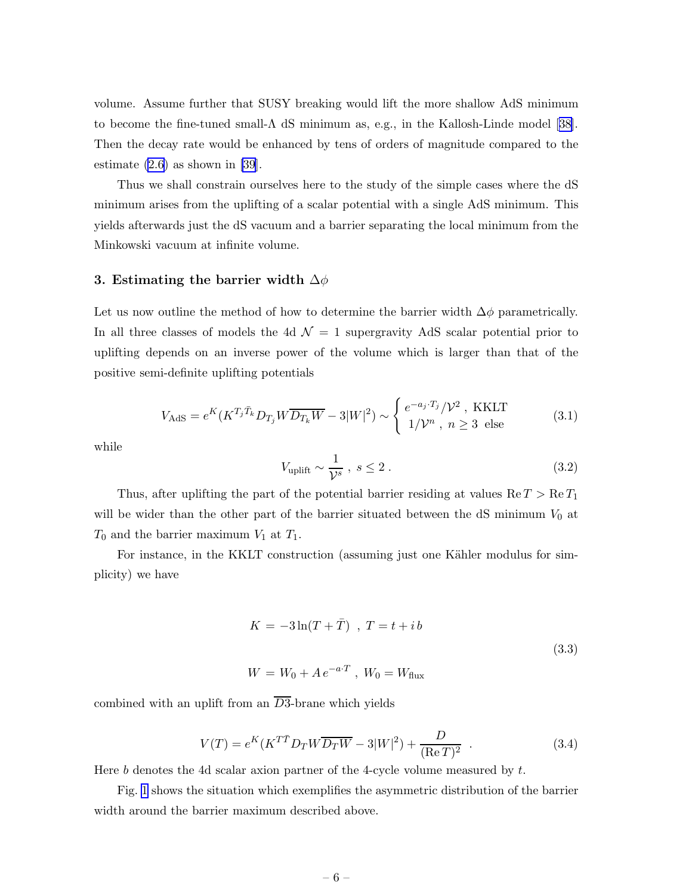<span id="page-6-0"></span>volume. Assume further that SUSY breaking would lift the more shallow AdS minimum tobecome the fine-tuned small- $\Lambda$  dS minimum as, e.g., in the Kallosh-Linde model [[38\]](#page-16-0). Then the decay rate would be enhanced by tens of orders of magnitude compared to the estimate  $(2.6)$  as shown in [\[39](#page-16-0)].

Thus we shall constrain ourselves here to the study of the simple cases where the dS minimum arises from the uplifting of a scalar potential with a single AdS minimum. This yields afterwards just the dS vacuum and a barrier separating the local minimum from the Minkowski vacuum at infinite volume.

## 3. Estimating the barrier width  $\Delta\phi$

Let us now outline the method of how to determine the barrier width  $\Delta\phi$  parametrically. In all three classes of models the 4d  $\mathcal{N}=1$  supergravity AdS scalar potential prior to uplifting depends on an inverse power of the volume which is larger than that of the positive semi-definite uplifting potentials

$$
V_{\text{AdS}} = e^K (K^{T_j \bar{T}_k} D_{T_j} W \overline{D_{T_k} W} - 3|W|^2) \sim \begin{cases} e^{-a_j \cdot T_j} / \mathcal{V}^2, \text{ KKLT} \\ 1/\mathcal{V}^n, n \ge 3 \text{ else} \end{cases} \tag{3.1}
$$

while

$$
V_{\text{uplift}} \sim \frac{1}{\mathcal{V}^s} \,, \, s \le 2 \,. \tag{3.2}
$$

Thus, after uplifting the part of the potential barrier residing at values  $\text{Re } T > \text{Re } T_1$ will be wider than the other part of the barrier situated between the  $dS$  minimum  $V_0$  at  $T_0$  and the barrier maximum  $V_1$  at  $T_1$ .

For instance, in the KKLT construction (assuming just one Kähler modulus for simplicity) we have

$$
K = -3\ln(T + \bar{T}) \quad, \ T = t + ib
$$
  
(3.3)  

$$
W = W_0 + Ae^{-a \cdot T} \quad, \ W_0 = W_{\text{flux}}
$$

combined with an uplift from an  $\overline{D3}$ -brane which yields

$$
V(T) = e^{K} (K^{T\bar{T}} D_{T} W \overline{D_{T} W} - 3|W|^{2}) + \frac{D}{(\text{Re}\,T)^{2}}.
$$
 (3.4)

Here b denotes the 4d scalar axion partner of the 4-cycle volume measured by  $t$ .

Fig. [1](#page-7-0) shows the situation which exemplifies the asymmetric distribution of the barrier width around the barrier maximum described above.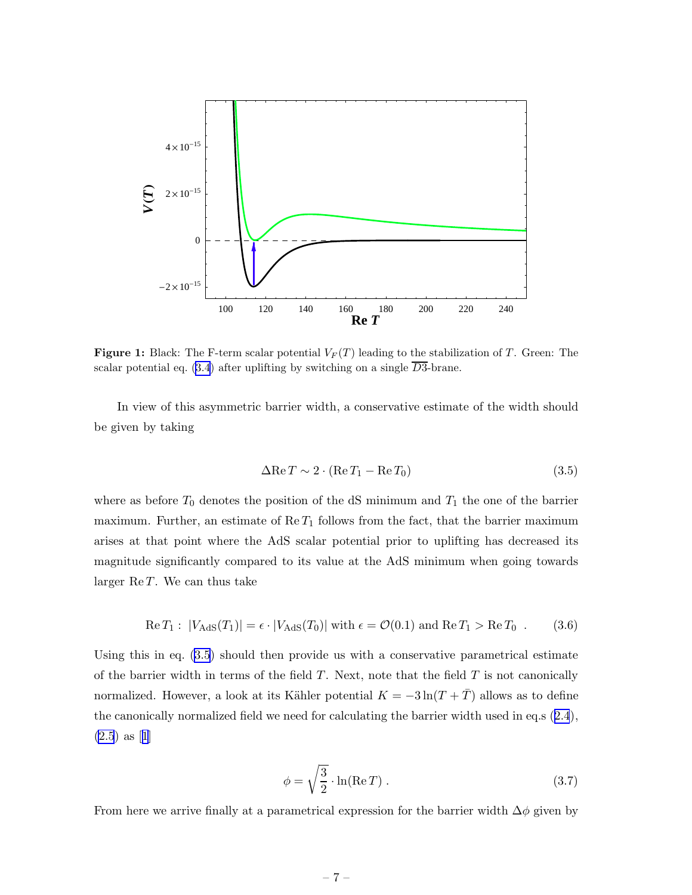<span id="page-7-0"></span>

**Figure 1:** Black: The F-term scalar potential  $V_F(T)$  leading to the stabilization of T. Green: The scalar potential eq. [\(3.4](#page-6-0)) after uplifting by switching on a single  $\overline{D3}$ -brane.

In view of this asymmetric barrier width, a conservative estimate of the width should be given by taking

$$
\Delta \text{Re}\,T \sim 2 \cdot (\text{Re}\,T_1 - \text{Re}\,T_0) \tag{3.5}
$$

where as before  $T_0$  denotes the position of the dS minimum and  $T_1$  the one of the barrier maximum. Further, an estimate of  $\text{Re } T_1$  follows from the fact, that the barrier maximum arises at that point where the AdS scalar potential prior to uplifting has decreased its magnitude significantly compared to its value at the AdS minimum when going towards larger  $\text{Re } T$ . We can thus take

$$
\operatorname{Re} T_1: |V_{\text{AdS}}(T_1)| = \epsilon \cdot |V_{\text{AdS}}(T_0)| \text{ with } \epsilon = \mathcal{O}(0.1) \text{ and } \operatorname{Re} T_1 > \operatorname{Re} T_0 \tag{3.6}
$$

Using this in eq. (3.5) should then provide us with a conservative parametrical estimate of the barrier width in terms of the field  $T$ . Next, note that the field  $T$  is not canonically normalized. However, a look at its Kähler potential  $K = -3\ln(T + \overline{T})$  allows as to define the canonically normalized field we need for calculating the barrier width used in eq.s([2.4](#page-5-0)),  $(2.5)$  $(2.5)$ as [[1](#page-15-0)]

$$
\phi = \sqrt{\frac{3}{2}} \cdot \ln(\text{Re } T) \,. \tag{3.7}
$$

From here we arrive finally at a parametrical expression for the barrier width  $\Delta\phi$  given by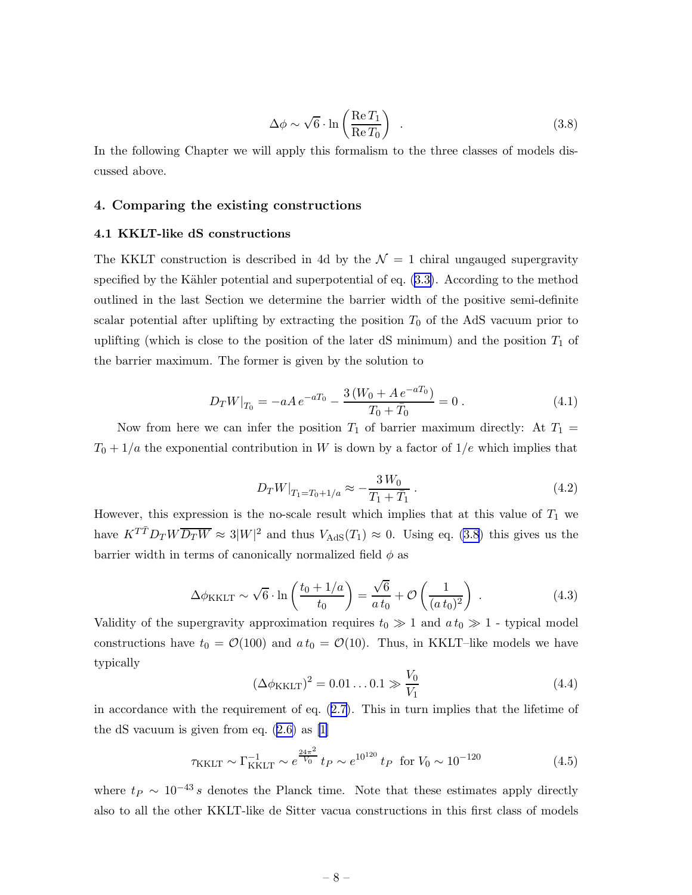$$
\Delta \phi \sim \sqrt{6} \cdot \ln \left( \frac{\text{Re} \, T_1}{\text{Re} \, T_0} \right) \tag{3.8}
$$

<span id="page-8-0"></span>In the following Chapter we will apply this formalism to the three classes of models discussed above.

## 4. Comparing the existing constructions

#### 4.1 KKLT-like dS constructions

The KKLT construction is described in 4d by the  $\mathcal{N}=1$  chiral ungauged supergravity specified by the Kähler potential and superpotential of eq.  $(3.3)$  $(3.3)$ . According to the method outlined in the last Section we determine the barrier width of the positive semi-definite scalar potential after uplifting by extracting the position  $T_0$  of the AdS vacuum prior to uplifting (which is close to the position of the later dS minimum) and the position  $T_1$  of the barrier maximum. The former is given by the solution to

$$
D_T W|_{T_0} = -aA e^{-aT_0} - \frac{3\left(W_0 + Ae^{-aT_0}\right)}{T_0 + \bar{T}_0} = 0.
$$
\n(4.1)

Now from here we can infer the position  $T_1$  of barrier maximum directly: At  $T_1$  =  $T_0 + 1/a$  the exponential contribution in W is down by a factor of  $1/e$  which implies that

$$
D_T W|_{T_1 = T_0 + 1/a} \approx -\frac{3 W_0}{T_1 + T_1} \,. \tag{4.2}
$$

However, this expression is the no-scale result which implies that at this value of  $T_1$  we have  $K^{T\bar{T}}D_{T}W\overline{D_{T}W} \approx 3|W|^{2}$  and thus  $V_{\text{AdS}}(T_{1}) \approx 0$ . Using eq. (3.8) this gives us the barrier width in terms of canonically normalized field  $\phi$  as

$$
\Delta \phi_{\text{KKLT}} \sim \sqrt{6} \cdot \ln \left( \frac{t_0 + 1/a}{t_0} \right) = \frac{\sqrt{6}}{a t_0} + \mathcal{O} \left( \frac{1}{(a t_0)^2} \right) . \tag{4.3}
$$

Validity of the supergravity approximation requires  $t_0 \gg 1$  and  $a t_0 \gg 1$  - typical model constructions have  $t_0 = \mathcal{O}(100)$  and  $a t_0 = \mathcal{O}(10)$ . Thus, in KKLT–like models we have typically

$$
(\Delta \phi_{KKLT})^2 = 0.01...0.1 \gg \frac{V_0}{V_1}
$$
 (4.4)

inaccordance with the requirement of eq.  $(2.7)$  $(2.7)$ . This in turn implies that the lifetime of the dS vacuum is given from eq.([2.6\)](#page-5-0) as [\[1\]](#page-15-0)

$$
\tau_{\text{KKLT}} \sim \Gamma_{\text{KKLT}}^{-1} \sim e^{\frac{24\pi^2}{V_0}} t_P \sim e^{10^{120}} t_P \text{ for } V_0 \sim 10^{-120} \tag{4.5}
$$

where  $t_P \sim 10^{-43} s$  denotes the Planck time. Note that these estimates apply directly also to all the other KKLT-like de Sitter vacua constructions in this first class of models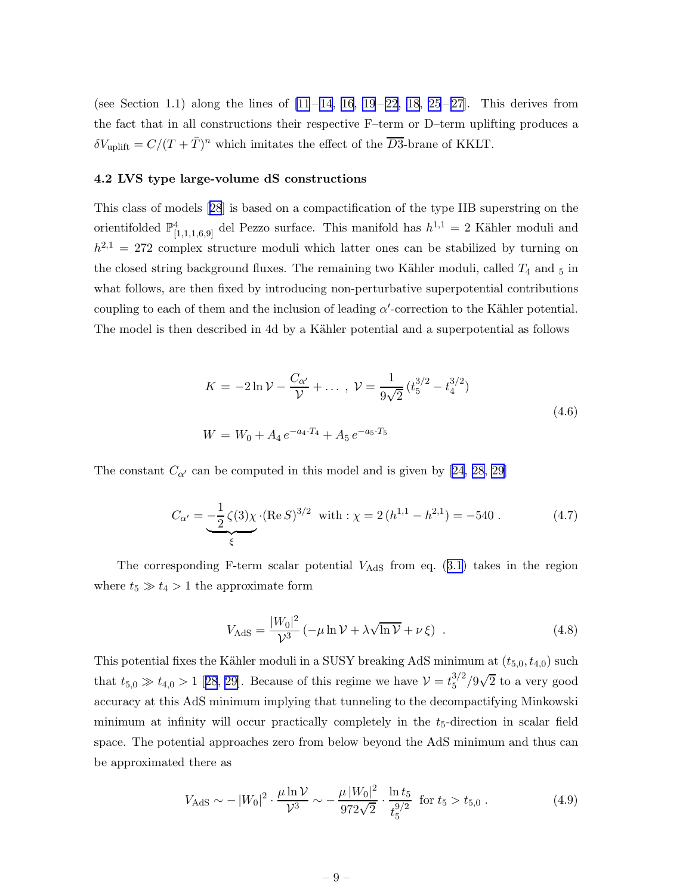<span id="page-9-0"></span>(see Section 1.1) along the lines of  $[11-14, 16, 19-22, 18, 25-27]$  $[11-14, 16, 19-22, 18, 25-27]$  $[11-14, 16, 19-22, 18, 25-27]$  $[11-14, 16, 19-22, 18, 25-27]$  $[11-14, 16, 19-22, 18, 25-27]$  $[11-14, 16, 19-22, 18, 25-27]$  $[11-14, 16, 19-22, 18, 25-27]$ . This derives from the fact that in all constructions their respective F–term or D–term uplifting produces a  $\delta V_{\text{uplift}} = C/(T + \bar{T})^n$  which imitates the effect of the  $\overline{D3}$ -brane of KKLT.

#### 4.2 LVS type large-volume dS constructions

This class of models[[28](#page-16-0)] is based on a compactification of the type IIB superstring on the orientifolded  $\mathbb{P}^4_{[1,1,1,6,9]}$  del Pezzo surface. This manifold has  $h^{1,1} = 2$  Kähler moduli and  $h^{2,1} = 272$  complex structure moduli which latter ones can be stabilized by turning on the closed string background fluxes. The remaining two Kähler moduli, called  $T_4$  and  $_5$  in what follows, are then fixed by introducing non-perturbative superpotential contributions coupling to each of them and the inclusion of leading  $\alpha'$ -correction to the Kähler potential. The model is then described in 4d by a Kähler potential and a superpotential as follows

$$
K = -2\ln \mathcal{V} - \frac{C_{\alpha'}}{\mathcal{V}} + \dots, \ \mathcal{V} = \frac{1}{9\sqrt{2}} \left( t_5^{3/2} - t_4^{3/2} \right)
$$

$$
W = W_0 + A_4 e^{-a_4 \cdot T_4} + A_5 e^{-a_5 \cdot T_5}
$$
(4.6)

The constant  $C_{\alpha'}$  can be computed in this model and is given by [\[24](#page-15-0), [28, 29](#page-16-0)]

$$
C_{\alpha'} = -\frac{1}{2}\zeta(3)\chi \cdot (\text{Re}\,S)^{3/2} \quad \text{with} \quad \chi = 2\,(h^{1,1} - h^{2,1}) = -540 \tag{4.7}
$$

Thecorresponding F-term scalar potential  $V_{\text{AdS}}$  from eq. ([3.1](#page-6-0)) takes in the region where  $t_5 \gg t_4 > 1$  the approximate form

$$
V_{\text{AdS}} = \frac{|W_0|^2}{\mathcal{V}^3} \left( -\mu \ln \mathcal{V} + \lambda \sqrt{\ln \mathcal{V}} + \nu \, \xi \right) \tag{4.8}
$$

This potential fixes the Kähler moduli in a SUSY breaking AdS minimum at  $(t_{5,0}, t_{4,0})$  such that $t_{5,0} \gg t_{4,0} > 1$  [[28](#page-16-0), [29](#page-16-0)]. Because of this regime we have  $V = t_5^{3/2}$  $\frac{3}{2}/9\sqrt{2}$  to a very good accuracy at this AdS minimum implying that tunneling to the decompactifying Minkowski minimum at infinity will occur practically completely in the  $t_5$ -direction in scalar field space. The potential approaches zero from below beyond the AdS minimum and thus can be approximated there as

$$
V_{\text{AdS}} \sim -\left|W_0\right|^2 \cdot \frac{\mu \ln \mathcal{V}}{\mathcal{V}^3} \sim -\frac{\mu \left|W_0\right|^2}{972\sqrt{2}} \cdot \frac{\ln t_5}{t_5^{9/2}} \text{ for } t_5 > t_{5,0} \,. \tag{4.9}
$$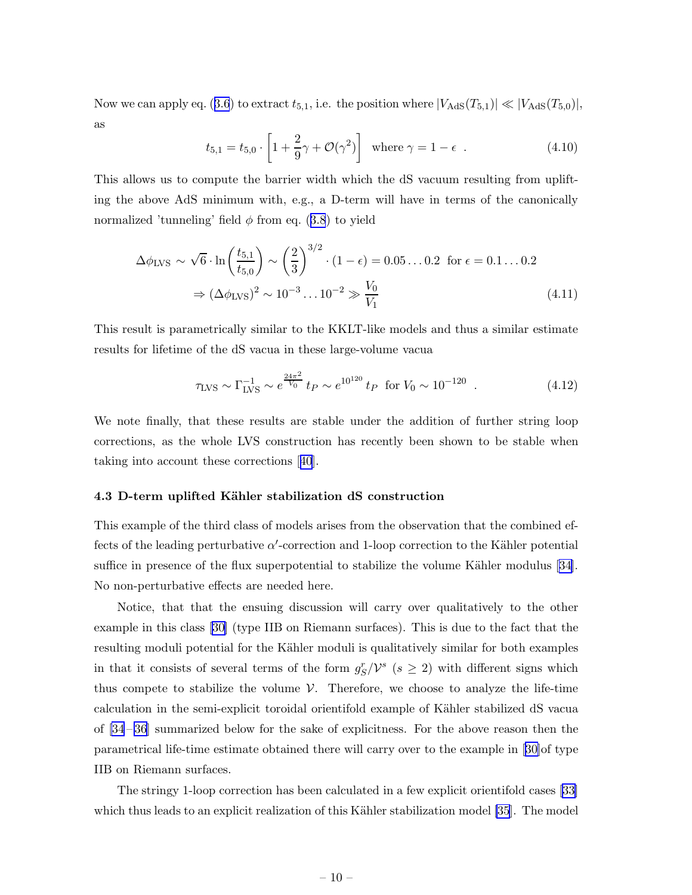<span id="page-10-0"></span>Nowwe can apply eq. ([3.6](#page-7-0)) to extract  $t_{5,1}$ , i.e. the position where  $|V_{\text{AdS}}(T_{5,1})| \ll |V_{\text{AdS}}(T_{5,0})|$ , as

$$
t_{5,1} = t_{5,0} \cdot \left[ 1 + \frac{2}{9}\gamma + \mathcal{O}(\gamma^2) \right] \text{ where } \gamma = 1 - \epsilon \tag{4.10}
$$

This allows us to compute the barrier width which the dS vacuum resulting from uplifting the above AdS minimum with, e.g., a D-term will have in terms of the canonically normalized'tunneling' field  $\phi$  from eq. ([3.8](#page-8-0)) to yield

$$
\Delta \phi_{\text{LVS}} \sim \sqrt{6} \cdot \ln \left( \frac{t_{5,1}}{t_{5,0}} \right) \sim \left( \frac{2}{3} \right)^{3/2} \cdot (1 - \epsilon) = 0.05 \dots 0.2 \text{ for } \epsilon = 0.1 \dots 0.2
$$
  

$$
\Rightarrow (\Delta \phi_{\text{LVS}})^2 \sim 10^{-3} \dots 10^{-2} \gg \frac{V_0}{V_1}
$$
(4.11)

This result is parametrically similar to the KKLT-like models and thus a similar estimate results for lifetime of the dS vacua in these large-volume vacua

$$
\tau_{\rm LVS} \sim \Gamma_{\rm LVS}^{-1} \sim e^{\frac{24\pi^2}{V_0}} t_P \sim e^{10^{120}} t_P \text{ for } V_0 \sim 10^{-120} \tag{4.12}
$$

We note finally, that these results are stable under the addition of further string loop corrections, as the whole LVS construction has recently been shown to be stable when taking into account these corrections[[40](#page-16-0)].

## 4.3 D-term uplifted Kähler stabilization dS construction

This example of the third class of models arises from the observation that the combined effects of the leading perturbative  $\alpha'$ -correction and 1-loop correction to the Kähler potential sufficein presence of the flux superpotential to stabilize the volume Kähler modulus  $[34]$  $[34]$ . No non-perturbative effects are needed here.

Notice, that that the ensuing discussion will carry over qualitatively to the other example in this class [\[30\]](#page-16-0) (type IIB on Riemann surfaces). This is due to the fact that the resulting moduli potential for the Kähler moduli is qualitatively similar for both examples in that it consists of several terms of the form  $g_S^r/\mathcal{V}^s$  ( $s \geq 2$ ) with different signs which thus compete to stabilize the volume  $\mathcal V$ . Therefore, we choose to analyze the life-time calculation in the semi-explicit toroidal orientifold example of Kähler stabilized dS vacua of [\[34](#page-16-0) – [36\]](#page-16-0) summarized below for the sake of explicitness. For the above reason then the parametrical life-time estimate obtained there will carry over to the example in [\[30\]](#page-16-0)of type IIB on Riemann surfaces.

The stringy 1-loop correction has been calculated in a few explicit orientifold cases [\[33\]](#page-16-0) which thus leads to an explicit realization of this Kähler stabilization model [\[35](#page-16-0)]. The model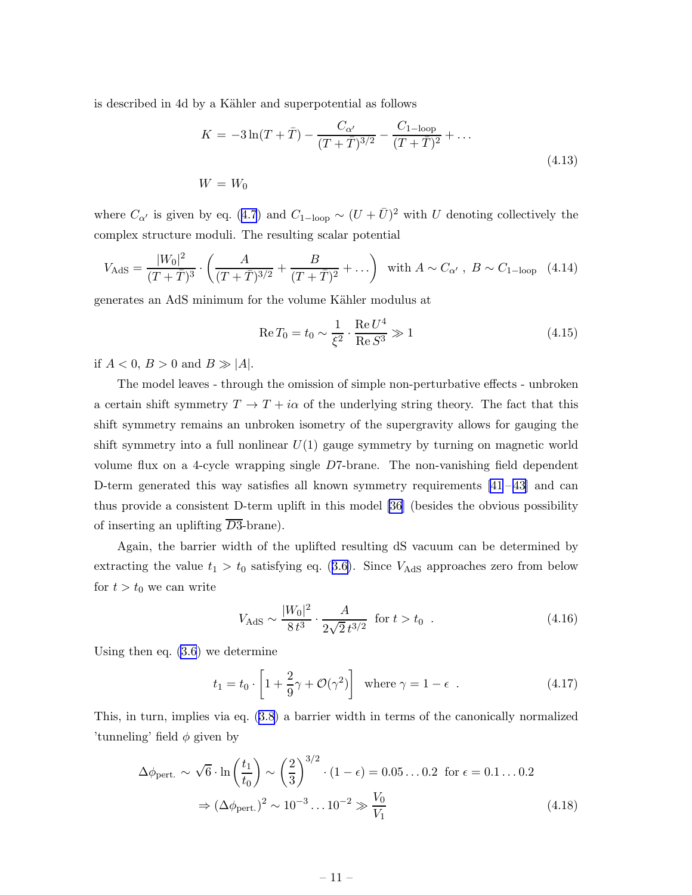is described in 4d by a Kähler and superpotential as follows

$$
K = -3\ln(T + \bar{T}) - \frac{C_{\alpha'}}{(T + \bar{T})^{3/2}} - \frac{C_{1-\text{loop}}}{(T + \bar{T})^2} + \dots
$$
  
(4.13)  

$$
W = W_0
$$

where $C_{\alpha'}$  is given by eq. ([4.7](#page-9-0)) and  $C_{1-\text{loop}} \sim (U + \bar{U})^2$  with U denoting collectively the complex structure moduli. The resulting scalar potential

$$
V_{\text{AdS}} = \frac{|W_0|^2}{(T+\bar{T})^3} \cdot \left(\frac{A}{(T+\bar{T})^{3/2}} + \frac{B}{(T+\bar{T})^2} + \ldots\right) \text{ with } A \sim C_{\alpha'}, \ B \sim C_{1-\text{loop}} \quad (4.14)
$$

generates an AdS minimum for the volume Kähler modulus at

$$
\text{Re}\,T_0 = t_0 \sim \frac{1}{\xi^2} \cdot \frac{\text{Re}\,U^4}{\text{Re}\,S^3} \gg 1\tag{4.15}
$$

if  $A < 0$ ,  $B > 0$  and  $B \gg |A|$ .

The model leaves - through the omission of simple non-perturbative effects - unbroken a certain shift symmetry  $T \to T + i\alpha$  of the underlying string theory. The fact that this shift symmetry remains an unbroken isometry of the supergravity allows for gauging the shift symmetry into a full nonlinear  $U(1)$  gauge symmetry by turning on magnetic world volume flux on a 4-cycle wrapping single D7-brane. The non-vanishing field dependent D-term generated this way satisfies all known symmetry requirements  $[41-43]$  and can thus provide a consistent D-term uplift in this model [\[36\]](#page-16-0) (besides the obvious possibility of inserting an uplifting  $\overline{D3}$ -brane).

Again, the barrier width of the uplifted resulting dS vacuum can be determined by extractingthe value  $t_1 > t_0$  satisfying eq. ([3.6\)](#page-7-0). Since  $V_{\text{AdS}}$  approaches zero from below for  $t > t_0$  we can write

$$
V_{\text{AdS}} \sim \frac{|W_0|^2}{8t^3} \cdot \frac{A}{2\sqrt{2}t^{3/2}} \quad \text{for } t > t_0 \quad . \tag{4.16}
$$

Using then eq. [\(3.6](#page-7-0)) we determine

$$
t_1 = t_0 \cdot \left[ 1 + \frac{2}{9}\gamma + \mathcal{O}(\gamma^2) \right] \text{ where } \gamma = 1 - \epsilon \tag{4.17}
$$

This, in turn, implies via eq. [\(3.8\)](#page-8-0) a barrier width in terms of the canonically normalized 'tunneling' field  $\phi$  given by

$$
\Delta \phi_{\text{pert.}} \sim \sqrt{6} \cdot \ln \left( \frac{t_1}{t_0} \right) \sim \left( \frac{2}{3} \right)^{3/2} \cdot (1 - \epsilon) = 0.05 \dots 0.2 \text{ for } \epsilon = 0.1 \dots 0.2
$$

$$
\Rightarrow (\Delta \phi_{\text{pert.}})^2 \sim 10^{-3} \dots 10^{-2} \gg \frac{V_0}{V_1}
$$
(4.18)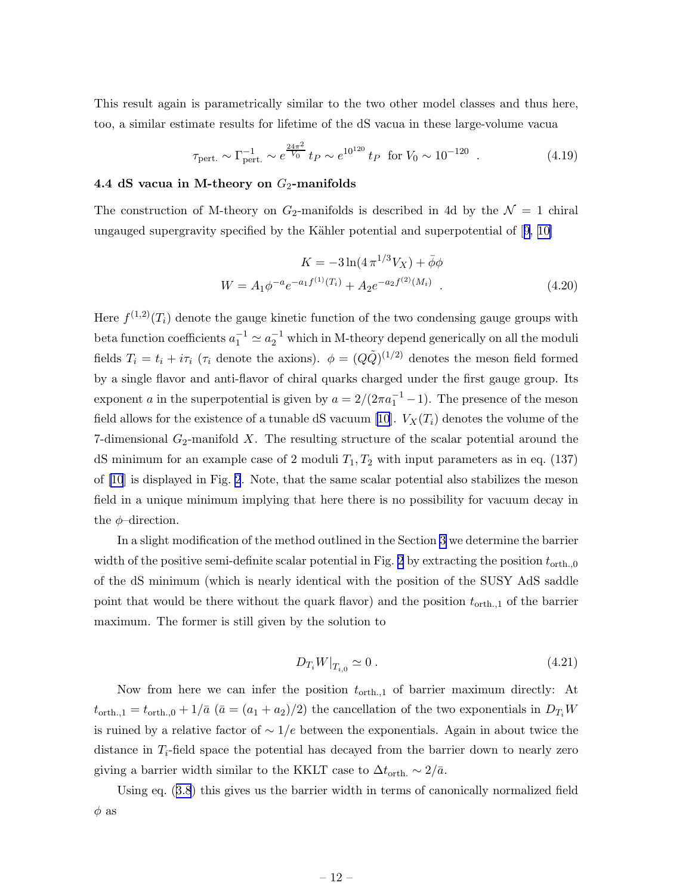<span id="page-12-0"></span>This result again is parametrically similar to the two other model classes and thus here, too, a similar estimate results for lifetime of the dS vacua in these large-volume vacua

$$
\tau_{\text{pert.}} \sim \Gamma_{\text{pert.}}^{-1} \sim e^{\frac{24\pi^2}{V_0}} t_P \sim e^{10^{120}} t_P \text{ for } V_0 \sim 10^{-120} \tag{4.19}
$$

#### 4.4 dS vacua in M-theory on  $G_2$ -manifolds

The construction of M-theory on  $G_2$ -manifolds is described in 4d by the  $\mathcal{N}=1$  chiral ungaugedsupergravity specified by the Kähler potential and superpotential of  $[9, 10]$  $[9, 10]$ 

$$
K = -3\ln(4\pi^{1/3}V_X) + \bar{\phi}\phi
$$
  
 
$$
W = A_1\phi^{-a}e^{-a_1f^{(1)}(T_i)} + A_2e^{-a_2f^{(2)}(M_i)}.
$$
 (4.20)

Here  $f^{(1,2)}(T_i)$  denote the gauge kinetic function of the two condensing gauge groups with beta function coefficients  $a_1^{-1} \simeq a_2^{-1}$  which in M-theory depend generically on all the moduli fields  $T_i = t_i + i\tau_i$  ( $\tau_i$  denote the axions).  $\phi = (Q\tilde{Q})^{(1/2)}$  denotes the meson field formed by a single flavor and anti-flavor of chiral quarks charged under the first gauge group. Its exponent a in the superpotential is given by  $a = 2/(2\pi a_1^{-1} - 1)$ . The presence of the meson field allows for the existence of a tunable dS vacuum [\[10\]](#page-15-0).  $V_X(T_i)$  denotes the volume of the 7-dimensional  $G_2$ -manifold X. The resulting structure of the scalar potential around the dS minimum for an example case of 2 moduli  $T_1, T_2$  with input parameters as in eq. (137) of [\[10](#page-15-0)] is displayed in Fig. [2](#page-13-0). Note, that the same scalar potential also stabilizes the meson field in a unique minimum implying that here there is no possibility for vacuum decay in the  $\phi$ -direction.

In a slight modification of the method outlined in the Section [3](#page-6-0) we determine the barrier width of the positive semi-definite scalar potential in Fig. [2](#page-13-0) by extracting the position  $t_{\text{orth.},0}$ of the dS minimum (which is nearly identical with the position of the SUSY AdS saddle point that would be there without the quark flavor) and the position  $t_{\text{orth.,1}}$  of the barrier maximum. The former is still given by the solution to

$$
D_{T_i} W|_{T_{i,0}} \simeq 0 \,. \tag{4.21}
$$

Now from here we can infer the position  $t_{\text{orth.},1}$  of barrier maximum directly: At  $t_{\text{orth.,1}} = t_{\text{orth.,0}} + 1/\bar{a}$  ( $\bar{a} = (a_1 + a_2)/2$ ) the cancellation of the two exponentials in  $D_{T_i}W$ is ruined by a relative factor of  $\sim 1/e$  between the exponentials. Again in about twice the distance in  $T_i$ -field space the potential has decayed from the barrier down to nearly zero giving a barrier width similar to the KKLT case to  $\Delta t$ <sub>orth.</sub> ~ 2/ $\bar{a}$ .

Using eq.([3.8](#page-8-0)) this gives us the barrier width in terms of canonically normalized field  $\phi$  as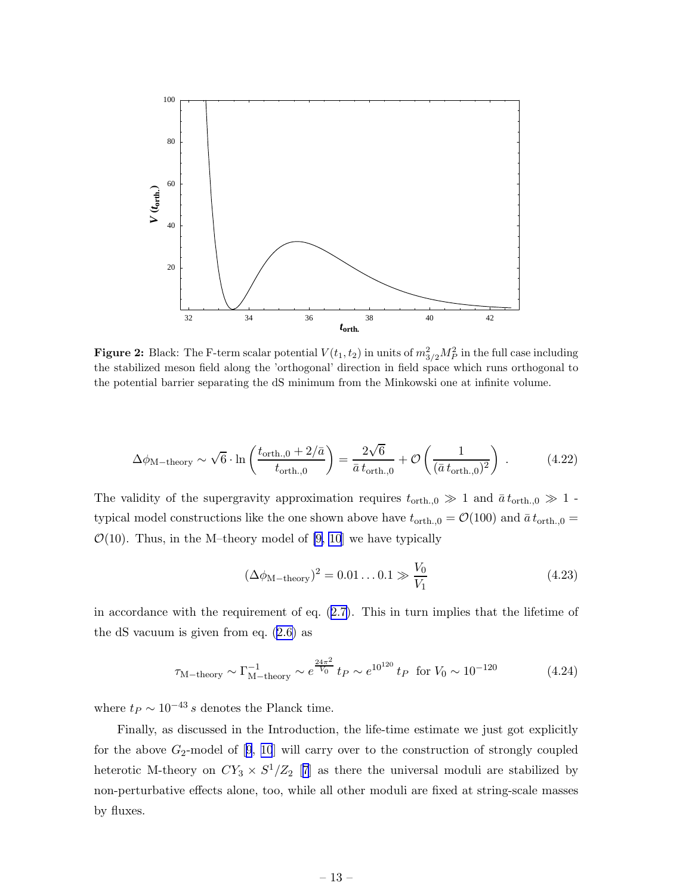<span id="page-13-0"></span>

**Figure 2:** Black: The F-term scalar potential  $V(t_1, t_2)$  in units of  $m_{3/2}^2 M_P^2$  in the full case including the stabilized meson field along the 'orthogonal' direction in field space which runs orthogonal to the potential barrier separating the dS minimum from the Minkowski one at infinite volume.

$$
\Delta\phi_{\text{M-theory}} \sim \sqrt{6} \cdot \ln\left(\frac{t_{\text{orth.},0} + 2/\bar{a}}{t_{\text{orth.},0}}\right) = \frac{2\sqrt{6}}{\bar{a} t_{\text{orth.},0}} + \mathcal{O}\left(\frac{1}{(\bar{a} t_{\text{orth.},0})^2}\right) \,. \tag{4.22}
$$

The validity of the supergravity approximation requires  $t_{\text{orth.},0} \gg 1$  and  $\bar{a} t_{\text{orth.},0} \gg 1$ . typical model constructions like the one shown above have  $t_{\text{orth.},0} = \mathcal{O}(100)$  and  $\bar{a} t_{\text{orth.},0} =$  $\mathcal{O}(10)$ . Thus, in the M-theory model of [\[9, 10](#page-15-0)] we have typically

$$
(\Delta \phi_{\text{M-theory}})^2 = 0.01...0.1 \gg \frac{V_0}{V_1}
$$
 (4.23)

in accordance with the requirement of eq.([2.7\)](#page-5-0). This in turn implies that the lifetime of the dS vacuum is given from eq.([2.6\)](#page-5-0) as

$$
\tau_{\text{M-theory}} \sim \Gamma_{\text{M-theory}}^{-1} \sim e^{\frac{24\pi^2}{V_0}} t_P \sim e^{10^{120}} t_P \text{ for } V_0 \sim 10^{-120} \tag{4.24}
$$

where  $t_P \sim 10^{-43} s$  denotes the Planck time.

Finally, as discussed in the Introduction, the life-time estimate we just got explicitly forthe above  $G_2$ -model of  $[9, 10]$  $[9, 10]$  $[9, 10]$  $[9, 10]$  $[9, 10]$  will carry over to the construction of strongly coupled heterotic M-theory on  $CY_3 \times S^1/Z_2$  [[7](#page-15-0)] as there the universal moduli are stabilized by non-perturbative effects alone, too, while all other moduli are fixed at string-scale masses by fluxes.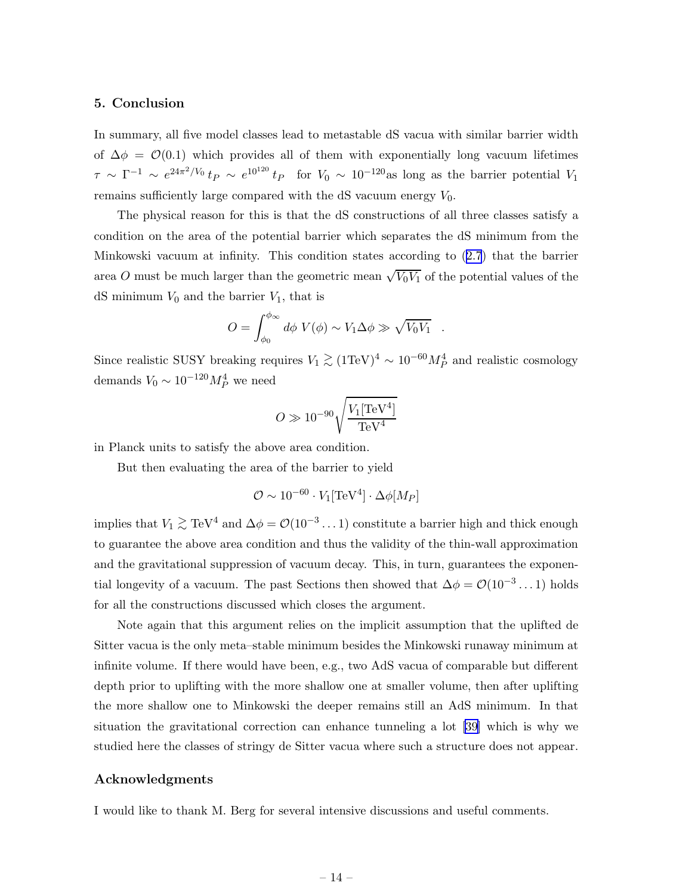## <span id="page-14-0"></span>5. Conclusion

In summary, all five model classes lead to metastable dS vacua with similar barrier width of  $\Delta \phi = \mathcal{O}(0.1)$  which provides all of them with exponentially long vacuum lifetimes  $\tau \sim \Gamma^{-1} \sim e^{24\pi^2/V_0} t_P \sim e^{10^{120}} t_P$  for  $V_0 \sim 10^{-120}$  as long as the barrier potential  $V_1$ remains sufficiently large compared with the dS vacuum energy  $V_0$ .

The physical reason for this is that the dS constructions of all three classes satisfy a condition on the area of the potential barrier which separates the dS minimum from the Minkowski vacuum at infinity. This condition states according to([2.7](#page-5-0)) that the barrier area O must be much larger than the geometric mean  $\sqrt{V_0V_1}$  of the potential values of the dS minimum  $V_0$  and the barrier  $V_1$ , that is

$$
O = \int_{\phi_0}^{\phi_{\infty}} d\phi \ V(\phi) \sim V_1 \Delta \phi \gg \sqrt{V_0 V_1} .
$$

Since realistic SUSY breaking requires  $V_1 \gtrsim (1 \text{TeV})^4 \sim 10^{-60} M_P^4$  and realistic cosmology demands  $V_0 \sim 10^{-120} M_P^4$  we need

$$
O\gg 10^{-90}\sqrt{\frac{V_1[{\rm TeV}^4]}{\rm TeV}^4}
$$

in Planck units to satisfy the above area condition.

But then evaluating the area of the barrier to yield

$$
\mathcal{O}\sim 10^{-60}\cdot V_1 [{\rm TeV}^4]\cdot \Delta\phi[M_P]
$$

implies that  $V_1 \gtrsim \text{TeV}^4$  and  $\Delta \phi = \mathcal{O}(10^{-3} \dots 1)$  constitute a barrier high and thick enough to guarantee the above area condition and thus the validity of the thin-wall approximation and the gravitational suppression of vacuum decay. This, in turn, guarantees the exponential longevity of a vacuum. The past Sections then showed that  $\Delta \phi = \mathcal{O}(10^{-3} \dots 1)$  holds for all the constructions discussed which closes the argument.

Note again that this argument relies on the implicit assumption that the uplifted de Sitter vacua is the only meta–stable minimum besides the Minkowski runaway minimum at infinite volume. If there would have been, e.g., two AdS vacua of comparable but different depth prior to uplifting with the more shallow one at smaller volume, then after uplifting the more shallow one to Minkowski the deeper remains still an AdS minimum. In that situation the gravitational correction can enhance tunneling a lot [\[39\]](#page-16-0) which is why we studied here the classes of stringy de Sitter vacua where such a structure does not appear.

## Acknowledgments

I would like to thank M. Berg for several intensive discussions and useful comments.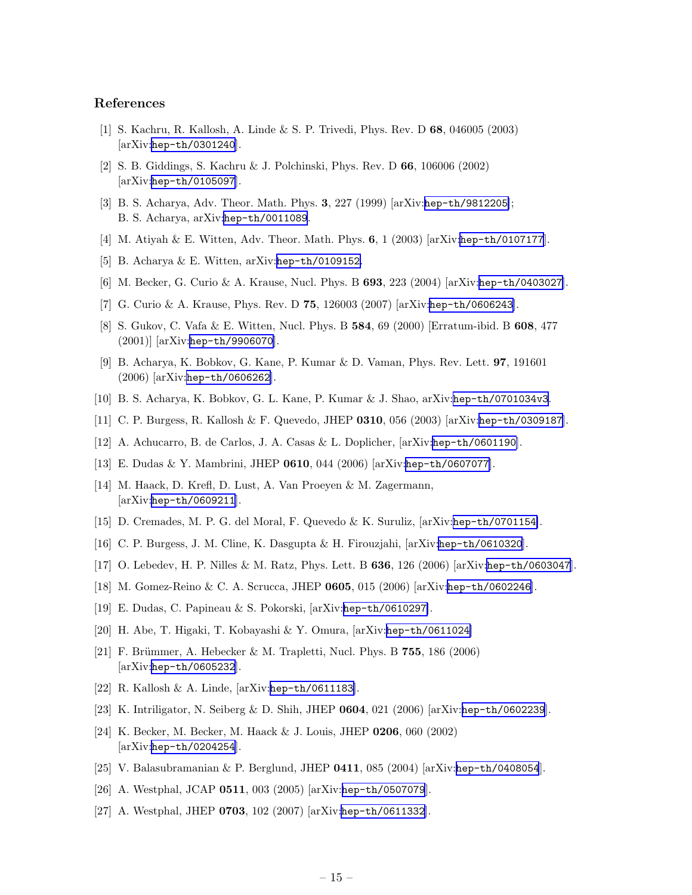## <span id="page-15-0"></span>References

- [1] S. Kachru, R. Kallosh, A. Linde & S. P. Trivedi, Phys. Rev. D 68, 046005 (2003) [arXiv:[hep-th/0301240](http://arxiv.org/abs/hep-th/0301240)].
- [2] S. B. Giddings, S. Kachru & J. Polchinski, Phys. Rev. D 66, 106006 (2002) [arXiv:[hep-th/0105097](http://arxiv.org/abs/hep-th/0105097)].
- [3] B. S. Acharya, Adv. Theor. Math. Phys. 3, 227 (1999) [arXiv:[hep-th/9812205](http://arxiv.org/abs/hep-th/9812205)]; B. S. Acharya, arXiv:[hep-th/0011089](http://arxiv.org/abs/hep-th/0011089).
- [4] M. Atiyah & E. Witten, Adv. Theor. Math. Phys. 6, 1 (2003) [arXiv:[hep-th/0107177](http://arxiv.org/abs/hep-th/0107177)].
- [5] B. Acharya & E. Witten, arXiv:[hep-th/0109152](http://arxiv.org/abs/hep-th/0109152).
- [6] M. Becker, G. Curio & A. Krause, Nucl. Phys. B 693, 223 (2004) [arXiv:[hep-th/0403027](http://arxiv.org/abs/hep-th/0403027)].
- [7] G. Curio & A. Krause, Phys. Rev. D 75, 126003 (2007) [arXiv:[hep-th/0606243](http://arxiv.org/abs/hep-th/0606243)].
- [8] S. Gukov, C. Vafa & E. Witten, Nucl. Phys. B 584, 69 (2000) [Erratum-ibid. B 608, 477 (2001)] [arXiv:[hep-th/9906070](http://arxiv.org/abs/hep-th/9906070)].
- [9] B. Acharya, K. Bobkov, G. Kane, P. Kumar & D. Vaman, Phys. Rev. Lett. 97, 191601 (2006) [arXiv:[hep-th/0606262](http://arxiv.org/abs/hep-th/0606262)].
- [10] B. S. Acharya, K. Bobkov, G. L. Kane, P. Kumar & J. Shao, arXiv:[hep-th/0701034v3](http://arxiv.org/abs/hep-th/0701034v3).
- [11] C. P. Burgess, R. Kallosh & F. Quevedo, JHEP 0310, 056 (2003) [arXiv:[hep-th/0309187](http://arxiv.org/abs/hep-th/0309187)].
- [12] A. Achucarro, B. de Carlos, J. A. Casas & L. Doplicher, [arXiv:[hep-th/0601190](http://arxiv.org/abs/hep-th/0601190)].
- [13] E. Dudas & Y. Mambrini, JHEP 0610, 044 (2006) [arXiv:[hep-th/0607077](http://arxiv.org/abs/hep-th/0607077)].
- [14] M. Haack, D. Krefl, D. Lust, A. Van Proeyen & M. Zagermann,  $[\text{arXiv:hep-th}/0609211]$ .
- [15] D. Cremades, M. P. G. del Moral, F. Quevedo & K. Suruliz, [arXiv:[hep-th/0701154](http://arxiv.org/abs/hep-th/0701154)].
- [16] C. P. Burgess, J. M. Cline, K. Dasgupta & H. Firouzjahi, [arXiv:[hep-th/0610320](http://arxiv.org/abs/hep-th/0610320)].
- [17] O. Lebedev, H. P. Nilles & M. Ratz, Phys. Lett. B 636, 126 (2006) [arXiv:[hep-th/0603047](http://arxiv.org/abs/hep-th/0603047)].
- [18] M. Gomez-Reino & C. A. Scrucca, JHEP 0605, 015 (2006) [arXiv:[hep-th/0602246](http://arxiv.org/abs/hep-th/0602246)].
- [19] E. Dudas, C. Papineau & S. Pokorski, [arXiv:[hep-th/0610297](http://arxiv.org/abs/hep-th/0610297)].
- [20] H. Abe, T. Higaki, T. Kobayashi & Y. Omura, [arXiv:[hep-th/0611024](http://arxiv.org/abs/hep-th/0611024)]
- [21] F. Brümmer, A. Hebecker & M. Trapletti, Nucl. Phys. B  $755$ , 186 (2006) [arXiv:[hep-th/0605232](http://arxiv.org/abs/hep-th/0605232)].
- [22] R. Kallosh & A. Linde, [arXiv:[hep-th/0611183](http://arxiv.org/abs/hep-th/0611183)].
- [23] K. Intriligator, N. Seiberg & D. Shih, JHEP 0604, 021 (2006) [arXiv:[hep-th/0602239](http://arxiv.org/abs/hep-th/0602239)].
- [24] K. Becker, M. Becker, M. Haack & J. Louis, JHEP 0206, 060 (2002) [arXiv:[hep-th/0204254](http://arxiv.org/abs/hep-th/0204254)].
- [25] V. Balasubramanian & P. Berglund, JHEP 0411, 085 (2004) [arXiv:[hep-th/0408054](http://arxiv.org/abs/hep-th/0408054)].
- [26] A. Westphal, JCAP 0511, 003 (2005) [arXiv:[hep-th/0507079](http://arxiv.org/abs/hep-th/0507079)].
- [27] A. Westphal, JHEP 0703, 102 (2007) [arXiv:[hep-th/0611332](http://arxiv.org/abs/hep-th/0611332)].